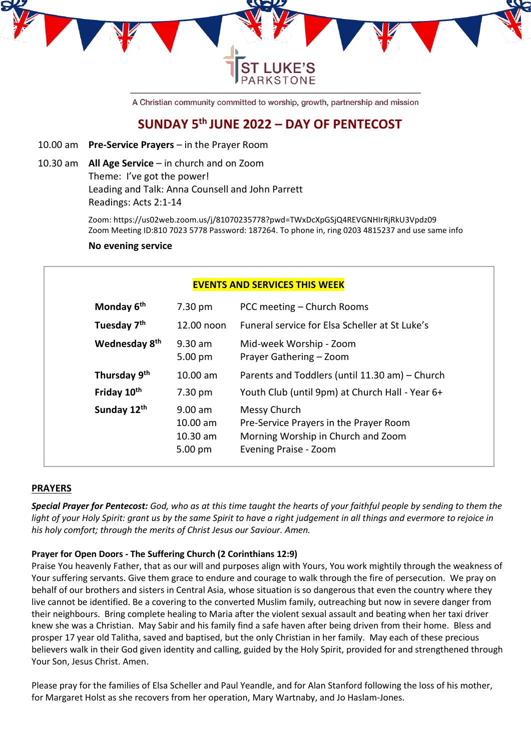

A Christian community committed to worship, growth, partnership and mission

# **SUNDAY 5 th JUNE 2022 – DAY OF PENTECOST**

- 10.00 am **Pre-Service Prayers** in the Prayer Room
- 10.30 am **All Age Service** in church and on Zoom Theme: I've got the power! Leading and Talk: Anna Counsell and John Parrett Readings: Acts 2:1-14

Zoom: https://us02web.zoom.us/j/81070235778?pwd=TWxDcXpGSjQ4REVGNHIrRjRkU3Vpdz09 Zoom Meeting ID:810 7023 5778 Password: 187264. To phone in, ring 0203 4815237 and use same info

#### **No evening service**

| 7.30 pm                           | <b>EVENTS AND SERVICES THIS WEEK</b><br>PCC meeting – Church Rooms                                                    |
|-----------------------------------|-----------------------------------------------------------------------------------------------------------------------|
|                                   |                                                                                                                       |
|                                   |                                                                                                                       |
| 12.00 noon                        | Funeral service for Elsa Scheller at St Luke's                                                                        |
| $9.30$ am<br>$5.00 \text{ pm}$    | Mid-week Worship - Zoom<br>Prayer Gathering - Zoom                                                                    |
| $10.00$ am                        | Parents and Toddlers (until 11.30 am) – Church                                                                        |
| 7.30 pm                           | Youth Club (until 9pm) at Church Hall - Year 6+                                                                       |
| $9.00$ am<br>10.00 am<br>10.30 am | Messy Church<br>Pre-Service Prayers in the Prayer Room<br>Morning Worship in Church and Zoom<br>Evening Praise - Zoom |
|                                   | 5.00 pm                                                                                                               |

## **PRAYERS**

*Special Prayer for Pentecost: God, who as at this time taught the hearts of your faithful people by sending to them the light of your Holy Spirit: grant us by the same Spirit to have a right judgement in all things and evermore to rejoice in his holy comfort; through the merits of Christ Jesus our Saviour. Amen.*

## **Prayer for Open Doors - The Suffering Church (2 Corinthians 12:9)**

Praise You heavenly Father, that as our will and purposes align with Yours, You work mightily through the weakness of Your suffering servants. Give them grace to endure and courage to walk through the fire of persecution. We pray on behalf of our brothers and sisters in Central Asia, whose situation is so dangerous that even the country where they live cannot be identified. Be a covering to the converted Muslim family, outreaching but now in severe danger from their neighbours. Bring complete healing to Maria after the violent sexual assault and beating when her taxi driver knew she was a Christian. May Sabir and his family find a safe haven after being driven from their home. Bless and prosper 17 year old Talitha, saved and baptised, but the only Christian in her family. May each of these precious believers walk in their God given identity and calling, guided by the Holy Spirit, provided for and strengthened through Your Son, Jesus Christ. Amen.

Please pray for the families of Elsa Scheller and Paul Yeandle, and for Alan Stanford following the loss of his mother, for Margaret Holst as she recovers from her operation, Mary Wartnaby, and Jo Haslam-Jones.